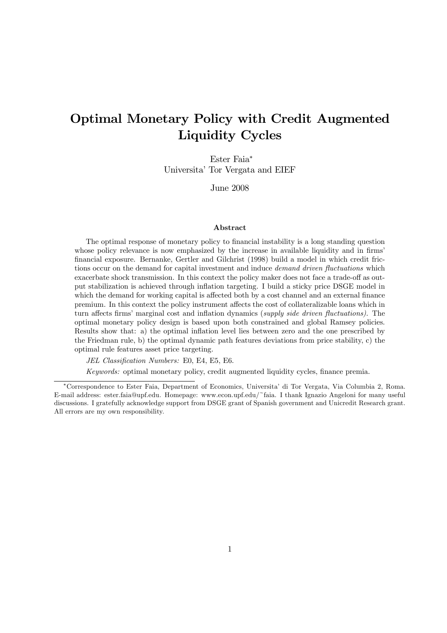# Optimal Monetary Policy with Credit Augmented Liquidity Cycles

Ester Faia<sup>∗</sup> Universita' Tor Vergata and EIEF

June 2008

#### Abstract

The optimal response of monetary policy to financial instability is a long standing question whose policy relevance is now emphasized by the increase in available liquidity and in firms' financial exposure. Bernanke, Gertler and Gilchrist (1998) build a model in which credit frictions occur on the demand for capital investment and induce *demand driven fluctuations* which exacerbate shock transmission. In this context the policy maker does not face a trade-off as output stabilization is achieved through inflation targeting. I build a sticky price DSGE model in which the demand for working capital is affected both by a cost channel and an external finance premium. In this context the policy instrument affects the cost of collateralizable loans which in turn affects firms' marginal cost and inflation dynamics (supply side driven fluctuations). The optimal monetary policy design is based upon both constrained and global Ramsey policies. Results show that: a) the optimal inflation level lies between zero and the one prescribed by the Friedman rule, b) the optimal dynamic path features deviations from price stability, c) the optimal rule features asset price targeting.

JEL Classification Numbers: E0, E4, E5, E6.

Keywords: optimal monetary policy, credit augmented liquidity cycles, finance premia.

<sup>∗</sup>Correspondence to Ester Faia, Department of Economics, Universita' di Tor Vergata, Via Columbia 2, Roma. E-mail address: ester.faia@upf.edu. Homepage: www.econ.upf.edu/~faia. I thank Ignazio Angeloni for many useful discussions. I gratefully acknowledge support from DSGE grant of Spanish government and Unicredit Research grant. All errors are my own responsibility.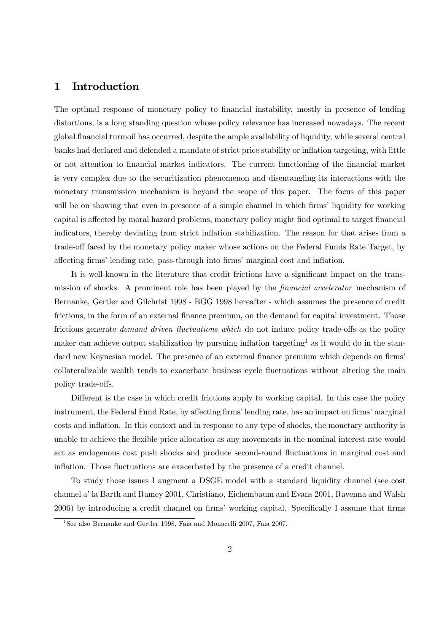### 1 Introduction

The optimal response of monetary policy to financial instability, mostly in presence of lending distortions, is a long standing question whose policy relevance has increased nowadays. The recent global financial turmoil has occurred, despite the ample availability of liquidity, while several central banks had declared and defended a mandate of strict price stability or inflation targeting, with little or not attention to financial market indicators. The current functioning of the financial market is very complex due to the securitization phenomenon and disentangling its interactions with the monetary transmission mechanism is beyond the scope of this paper. The focus of this paper will be on showing that even in presence of a simple channel in which firms' liquidity for working capital is affected by moral hazard problems, monetary policy might find optimal to target financial indicators, thereby deviating from strict inflation stabilization. The reason for that arises from a trade-off faced by the monetary policy maker whose actions on the Federal Funds Rate Target, by affecting firms' lending rate, pass-through into firms' marginal cost and inflation.

It is well-known in the literature that credit frictions have a significant impact on the transmission of shocks. A prominent role has been played by the financial accelerator mechanism of Bernanke, Gertler and Gilchrist 1998 - BGG 1998 hereafter - which assumes the presence of credit frictions, in the form of an external finance premium, on the demand for capital investment. Those frictions generate demand driven fluctuations which do not induce policy trade-offs as the policy maker can achieve output stabilization by pursuing inflation targeting<sup>1</sup> as it would do in the standard new Keynesian model. The presence of an external finance premium which depends on firms' collateralizable wealth tends to exacerbate business cycle fluctuations without altering the main policy trade-offs.

Different is the case in which credit frictions apply to working capital. In this case the policy instrument, the Federal Fund Rate, by affecting firms' lending rate, has an impact on firms' marginal costs and inflation. In this context and in response to any type of shocks, the monetary authority is unable to achieve the flexible price allocation as any movements in the nominal interest rate would act as endogenous cost push shocks and produce second-round fluctuations in marginal cost and inflation. Those fluctuations are exacerbated by the presence of a credit channel.

To study those issues I augment a DSGE model with a standard liquidity channel (see cost channel a' la Barth and Ramey 2001, Christiano, Eichembaum and Evans 2001, Ravenna and Walsh 2006) by introducing a credit channel on firms' working capital. Specifically I assume that firms

<sup>&</sup>lt;sup>1</sup>See also Bernanke and Gertler 1998, Faia and Monacelli 2007, Faia 2007.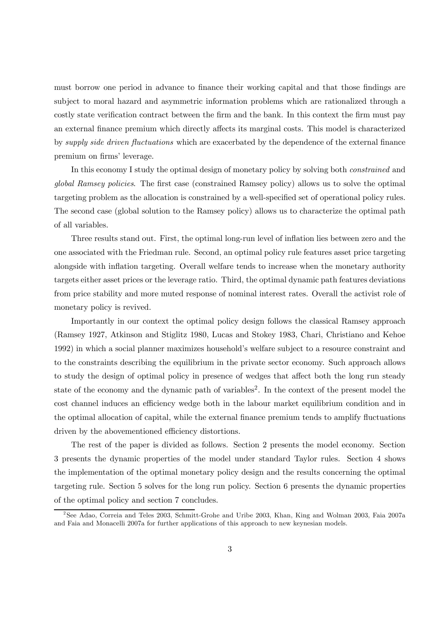must borrow one period in advance to finance their working capital and that those findings are subject to moral hazard and asymmetric information problems which are rationalized through a costly state verification contract between the firm and the bank. In this context the firm must pay an external finance premium which directly affects its marginal costs. This model is characterized by supply side driven fluctuations which are exacerbated by the dependence of the external finance premium on firms' leverage.

In this economy I study the optimal design of monetary policy by solving both *constrained* and global Ramsey policies. The first case (constrained Ramsey policy) allows us to solve the optimal targeting problem as the allocation is constrained by a well-specified set of operational policy rules. The second case (global solution to the Ramsey policy) allows us to characterize the optimal path of all variables.

Three results stand out. First, the optimal long-run level of inflation lies between zero and the one associated with the Friedman rule. Second, an optimal policy rule features asset price targeting alongside with inflation targeting. Overall welfare tends to increase when the monetary authority targets either asset prices or the leverage ratio. Third, the optimal dynamic path features deviations from price stability and more muted response of nominal interest rates. Overall the activist role of monetary policy is revived.

Importantly in our context the optimal policy design follows the classical Ramsey approach (Ramsey 1927, Atkinson and Stiglitz 1980, Lucas and Stokey 1983, Chari, Christiano and Kehoe 1992) in which a social planner maximizes household's welfare subject to a resource constraint and to the constraints describing the equilibrium in the private sector economy. Such approach allows to study the design of optimal policy in presence of wedges that affect both the long run steady state of the economy and the dynamic path of variables2. In the context of the present model the cost channel induces an efficiency wedge both in the labour market equilibrium condition and in the optimal allocation of capital, while the external finance premium tends to amplify fluctuations driven by the abovementioned efficiency distortions.

The rest of the paper is divided as follows. Section 2 presents the model economy. Section 3 presents the dynamic properties of the model under standard Taylor rules. Section 4 shows the implementation of the optimal monetary policy design and the results concerning the optimal targeting rule. Section 5 solves for the long run policy. Section 6 presents the dynamic properties of the optimal policy and section 7 concludes.

<sup>2</sup>See Adao, Correia and Teles 2003, Schmitt-Grohe and Uribe 2003, Khan, King and Wolman 2003, Faia 2007a and Faia and Monacelli 2007a for further applications of this approach to new keynesian models.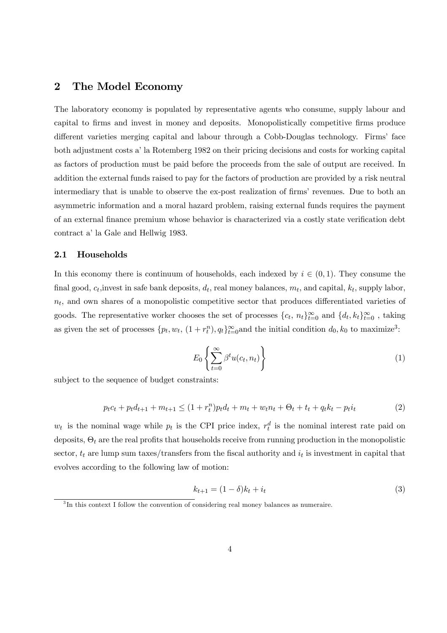### 2 The Model Economy

The laboratory economy is populated by representative agents who consume, supply labour and capital to firms and invest in money and deposits. Monopolistically competitive firms produce different varieties merging capital and labour through a Cobb-Douglas technology. Firms' face both adjustment costs a' la Rotemberg 1982 on their pricing decisions and costs for working capital as factors of production must be paid before the proceeds from the sale of output are received. In addition the external funds raised to pay for the factors of production are provided by a risk neutral intermediary that is unable to observe the ex-post realization of firms' revenues. Due to both an asymmetric information and a moral hazard problem, raising external funds requires the payment of an external finance premium whose behavior is characterized via a costly state verification debt contract a' la Gale and Hellwig 1983.

#### 2.1 Households

In this economy there is continuum of households, each indexed by  $i \in (0,1)$ . They consume the final good,  $c_t$ , invest in safe bank deposits,  $d_t$ , real money balances,  $m_t$ , and capital,  $k_t$ , supply labor,  $n_t$ , and own shares of a monopolistic competitive sector that produces differentiated varieties of goods. The representative worker chooses the set of processes  $\{c_t, n_t\}_{t=0}^{\infty}$  and  $\{d_t, k_t\}_{t=0}^{\infty}$ , taking as given the set of processes  $\{p_t, w_t, (1 + r_t^n), q_t\}_{t=0}^{\infty}$  and the initial condition  $d_0, k_0$  to maximize<sup>3</sup>:

$$
E_0 \left\{ \sum_{t=0}^{\infty} \beta^t u(c_t, n_t) \right\} \tag{1}
$$

subject to the sequence of budget constraints:

$$
p_t c_t + p_t d_{t+1} + m_{t+1} \le (1 + r_t^n) p_t d_t + m_t + w_t n_t + \Theta_t + t_t + q_t k_t - p_t i_t \tag{2}
$$

 $w_t$  is the nominal wage while  $p_t$  is the CPI price index,  $r_t^d$  is the nominal interest rate paid on deposits,  $\Theta_t$  are the real profits that households receive from running production in the monopolistic sector,  $t_t$  are lump sum taxes/transfers from the fiscal authority and  $i_t$  is investment in capital that evolves according to the following law of motion:

$$
k_{t+1} = (1 - \delta)k_t + i_t
$$
\n(3)

<sup>&</sup>lt;sup>3</sup>In this context I follow the convention of considering real money balances as numeraire.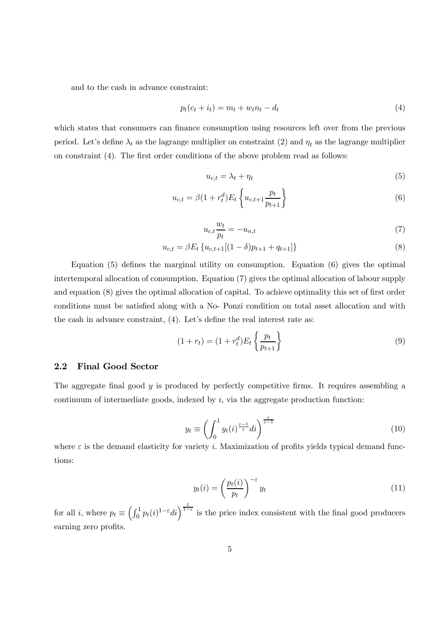and to the cash in advance constraint:

$$
p_t(c_t + i_t) = m_t + w_t n_t - d_t \tag{4}
$$

which states that consumers can finance consumption using resources left over from the previous period. Let's define  $\lambda_t$  as the lagrange multiplier on constraint (2) and  $\eta_t$  as the lagrange multiplier on constraint (4). The first order conditions of the above problem read as follows:

$$
u_{c,t} = \lambda_t + \eta_t \tag{5}
$$

$$
u_{c,t} = \beta (1 + r_t^d) E_t \left\{ u_{c,t+1} \frac{p_t}{p_{t+1}} \right\}
$$
 (6)

$$
u_{c,t}\frac{w_t}{p_t} = -u_{n,t} \tag{7}
$$

$$
u_{c,t} = \beta E_t \left\{ u_{c,t+1}[(1-\delta)p_{t+1} + q_{t+1}] \right\}
$$
\n(8)

Equation (5) defines the marginal utility on consumption. Equation (6) gives the optimal intertemporal allocation of consumption. Equation (7) gives the optimal allocation of labour supply and equation (8) gives the optimal allocation of capital. To achieve optimality this set of first order conditions must be satisfied along with a No- Ponzi condition on total asset allocation and with the cash in advance constraint, (4). Let's define the real interest rate as:

$$
(1 + r_t) = (1 + r_t^d) E_t \left\{ \frac{p_t}{p_{t+1}} \right\} \tag{9}
$$

### 2.2 Final Good Sector

The aggregate final good  $y$  is produced by perfectly competitive firms. It requires assembling a continuum of intermediate goods, indexed by  $i$ , via the aggregate production function:

$$
y_t \equiv \left(\int_0^1 y_t(i)^{\frac{\varepsilon - 1}{\varepsilon}} di\right)^{\frac{\varepsilon}{\varepsilon - 1}}\tag{10}
$$

where  $\varepsilon$  is the demand elasticity for variety i. Maximization of profits yields typical demand functions:

$$
y_t(i) = \left(\frac{p_t(i)}{p_t}\right)^{-\varepsilon} y_t \tag{11}
$$

for all i, where  $p_t \equiv \left(\int_0^1 p_t(i)^{1-\varepsilon} di\right)^{\frac{1}{1-\varepsilon}}$  is the price index consistent with the final good producers earning zero profits.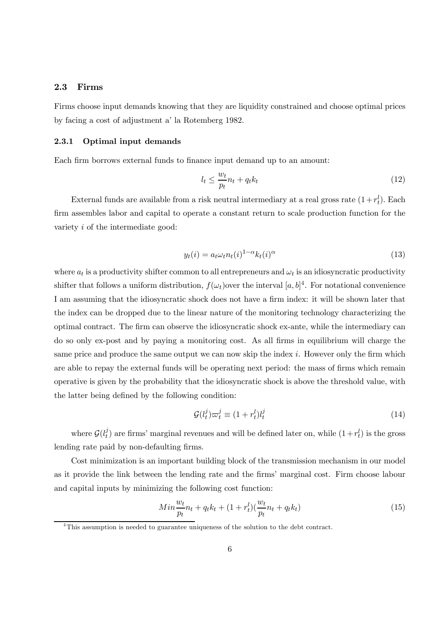### 2.3 Firms

Firms choose input demands knowing that they are liquidity constrained and choose optimal prices by facing a cost of adjustment a' la Rotemberg 1982.

#### 2.3.1 Optimal input demands

Each firm borrows external funds to finance input demand up to an amount:

$$
l_t \le \frac{w_t}{p_t} n_t + q_t k_t \tag{12}
$$

External funds are available from a risk neutral intermediary at a real gross rate  $(1+r_t^l)$ . Each firm assembles labor and capital to operate a constant return to scale production function for the variety i of the intermediate good:

$$
y_t(i) = a_t \omega_t n_t(i)^{1-\alpha} k_t(i)^{\alpha} \tag{13}
$$

where  $a_t$  is a productivity shifter common to all entrepreneurs and  $\omega_t$  is an idiosyncratic productivity shifter that follows a uniform distribution,  $f(\omega_t)$  over the interval  $[a, b]^4$ . For notational convenience I am assuming that the idiosyncratic shock does not have a firm index: it will be shown later that the index can be dropped due to the linear nature of the monitoring technology characterizing the optimal contract. The firm can observe the idiosyncratic shock ex-ante, while the intermediary can do so only ex-post and by paying a monitoring cost. As all firms in equilibrium will charge the same price and produce the same output we can now skip the index  $i$ . However only the firm which are able to repay the external funds will be operating next period: the mass of firms which remain operative is given by the probability that the idiosyncratic shock is above the threshold value, with the latter being defined by the following condition:

$$
\mathcal{G}(l_t^j)\varpi_t^j \equiv (1+r_t^l)l_t^j \tag{14}
$$

where  $\mathcal{G}(l_t^j)$  are firms' marginal revenues and will be defined later on, while  $(1+r_t^l)$  is the gross lending rate paid by non-defaulting firms.

Cost minimization is an important building block of the transmission mechanism in our model as it provide the link between the lending rate and the firms' marginal cost. Firm choose labour and capital inputs by minimizing the following cost function:

$$
Min\frac{w_t}{p_t}n_t + q_t k_t + (1 + r_t^l)\left(\frac{w_t}{p_t}n_t + q_t k_t\right) \tag{15}
$$

<sup>&</sup>lt;sup>4</sup>This assumption is needed to guarantee uniqueness of the solution to the debt contract.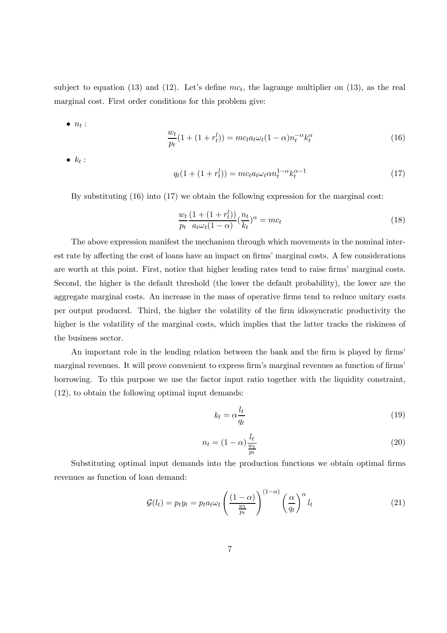subject to equation (13) and (12). Let's define  $mc_t$ , the lagrange multiplier on (13), as the real marginal cost. First order conditions for this problem give:

 $\bullet$   $n_t$  :

$$
\frac{w_t}{p_t}(1+(1+r_t^l)) = mc_t a_t \omega_t (1-\alpha) n_t^{-\alpha} k_t^{\alpha}
$$
\n(16)

 $\bullet$   $k_t$  :

$$
q_t(1 + (1 + r_t^l)) = mc_t a_t \omega_t \alpha n_t^{1 - \alpha} k_t^{\alpha - 1}
$$
\n(17)

By substituting (16) into (17) we obtain the following expression for the marginal cost:

$$
\frac{w_t}{p_t} \frac{(1 + (1 + r_t^l))}{a_t \omega_t (1 - \alpha)} (\frac{n_t}{k_t})^{\alpha} = mc_t
$$
\n(18)

The above expression manifest the mechanism through which movements in the nominal interest rate by affecting the cost of loans have an impact on firms' marginal costs. A few considerations are worth at this point. First, notice that higher lending rates tend to raise firms' marginal costs. Second, the higher is the default threshold (the lower the default probability), the lower are the aggregate marginal costs. An increase in the mass of operative firms tend to reduce unitary costs per output produced. Third, the higher the volatility of the firm idiosyncratic productivity the higher is the volatility of the marginal costs, which implies that the latter tracks the riskiness of the business sector.

An important role in the lending relation between the bank and the firm is played by firms' marginal revenues. It will prove convenient to express firm's marginal revenues as function of firms' borrowing. To this purpose we use the factor input ratio together with the liquidity constraint, (12), to obtain the following optimal input demands:

$$
k_t = \alpha \frac{l_t}{q_t} \tag{19}
$$

$$
n_t = (1 - \alpha) \frac{l_t}{\frac{w_t}{p_t}} \tag{20}
$$

Substituting optimal input demands into the production functions we obtain optimal firms revenues as function of loan demand:

$$
\mathcal{G}(l_t) = p_t y_t = p_t a_t \omega_t \left(\frac{(1-\alpha)}{\frac{w_t}{p_t}}\right)^{(1-\alpha)} \left(\frac{\alpha}{q_t}\right)^{\alpha} l_t \tag{21}
$$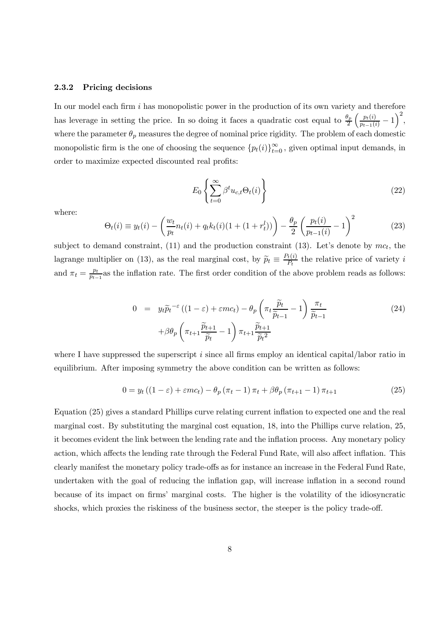#### 2.3.2 Pricing decisions

In our model each firm  $i$  has monopolistic power in the production of its own variety and therefore has leverage in setting the price. In so doing it faces a quadratic cost equal to  $\frac{\theta_p}{2}$  $\left(\frac{p_t(i)}{p_{t-1}(i)} - 1\right)^2,$ where the parameter  $\theta_p$  measures the degree of nominal price rigidity. The problem of each domestic monopolistic firm is the one of choosing the sequence  ${p_t(i)}_{t=0}^{\infty}$ , given optimal input demands, in order to maximize expected discounted real profits:

$$
E_0 \left\{ \sum_{t=0}^{\infty} \beta^t u_{c,t} \Theta_t(i) \right\} \tag{22}
$$

where:

$$
\Theta_t(i) \equiv y_t(i) - \left(\frac{w_t}{p_t} n_t(i) + q_t k_t(i) (1 + (1 + r_t^l))\right) - \frac{\theta_p}{2} \left(\frac{p_t(i)}{p_{t-1}(i)} - 1\right)^2 \tag{23}
$$

subject to demand constraint, (11) and the production constraint (13). Let's denote by  $mc_t$ , the lagrange multiplier on (13), as the real marginal cost, by  $\tilde{p}_t \equiv \frac{P_t(i)}{P_t}$  the relative price of variety i and  $\pi_t = \frac{p_t}{p_{t-1}}$  as the inflation rate. The first order condition of the above problem reads as follows:

$$
0 = y_t \widetilde{p}_t^{-\varepsilon} \left( (1 - \varepsilon) + \varepsilon m c_t \right) - \theta_p \left( \pi_t \frac{\widetilde{p}_t}{\widetilde{p}_{t-1}} - 1 \right) \frac{\pi_t}{\widetilde{p}_{t-1}} + \beta \theta_p \left( \pi_{t+1} \frac{\widetilde{p}_{t+1}}{\widetilde{p}_t} - 1 \right) \pi_{t+1} \frac{\widetilde{p}_{t+1}}{\widetilde{p}_t^2}
$$
\n
$$
(24)
$$

where I have suppressed the superscript i since all firms employ an identical capital/labor ratio in equilibrium. After imposing symmetry the above condition can be written as follows:

$$
0 = y_t ((1 - \varepsilon) + \varepsilon mc_t) - \theta_p (\pi_t - 1) \pi_t + \beta \theta_p (\pi_{t+1} - 1) \pi_{t+1}
$$
\n(25)

Equation (25) gives a standard Phillips curve relating current inflation to expected one and the real marginal cost. By substituting the marginal cost equation, 18, into the Phillips curve relation, 25, it becomes evident the link between the lending rate and the inflation process. Any monetary policy action, which affects the lending rate through the Federal Fund Rate, will also affect inflation. This clearly manifest the monetary policy trade-offs as for instance an increase in the Federal Fund Rate, undertaken with the goal of reducing the inflation gap, will increase inflation in a second round because of its impact on firms' marginal costs. The higher is the volatility of the idiosyncratic shocks, which proxies the riskiness of the business sector, the steeper is the policy trade-off.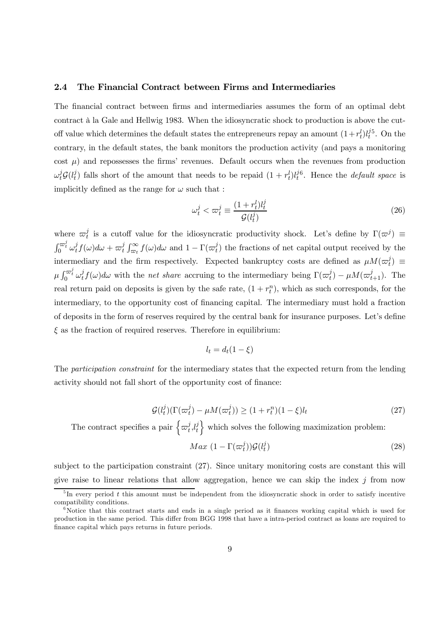#### 2.4 The Financial Contract between Firms and Intermediaries

The financial contract between firms and intermediaries assumes the form of an optimal debt contract à la Gale and Hellwig 1983. When the idiosyncratic shock to production is above the cutoff value which determines the default states the entrepreneurs repay an amount  $(1+r_t^l)l_t^j$  $i<sup>j5</sup>$ . On the contrary, in the default states, the bank monitors the production activity (and pays a monitoring cost  $\mu$ ) and repossesses the firms' revenues. Default occurs when the revenues from production  $\omega_t^j \mathcal{G}(l_t^j)$  falls short of the amount that needs to be repaid  $(1 + r_t^l)l_t^j$  $t^j$ . Hence the *default space* is implicitly defined as the range for  $\omega$  such that :

$$
\omega_t^j < \varpi_t^j \equiv \frac{(1+r_t^l)l_t^j}{\mathcal{G}(l_t^j)}\tag{26}
$$

where  $\omega_t^j$  is a cutoff value for the idiosyncratic productivity shock. Let's define by  $\Gamma(\omega^j) \equiv$  $\int_0^{\overline{\omega}_t^j} \omega_t^j f(\omega) d\omega + \overline{\omega}_t^j \int_{\overline{\omega}_t}^{\infty} f(\omega) d\omega$  and  $1 - \Gamma(\overline{\omega}_t^j)$  the fractions of net capital output received by the intermediary and the firm respectively. Expected bankruptcy costs are defined as  $\mu M(\varpi_t^j) \equiv$  $\mu \int_0^{\varpi_t^j} \omega_t^j f(\omega) d\omega$  with the net share accruing to the intermediary being  $\Gamma(\varpi_t^j) - \mu \mathcal{M}(\varpi_{t+1}^j)$ . The real return paid on deposits is given by the safe rate,  $(1 + r_t^n)$ , which as such corresponds, for the intermediary, to the opportunity cost of financing capital. The intermediary must hold a fraction of deposits in the form of reserves required by the central bank for insurance purposes. Let's define  $\xi$  as the fraction of required reserves. Therefore in equilibrium:

$$
l_t = d_t(1 - \xi)
$$

The participation constraint for the intermediary states that the expected return from the lending activity should not fall short of the opportunity cost of finance:

$$
\mathcal{G}(l_t^j)(\Gamma(\varpi_t^j) - \mu M(\varpi_t^j)) \ge (1 + r_t^n)(1 - \xi)l_t
$$
\n(27)

The contract specifies a pair  $\left\{\varpi_t^j, l_t^j\right\}$ t } which solves the following maximization problem:

$$
Max\ (1 - \Gamma(\varpi_t^j))\mathcal{G}(l_t^j) \tag{28}
$$

subject to the participation constraint (27). Since unitary monitoring costs are constant this will give raise to linear relations that allow aggregation, hence we can skip the index j from now

 ${}^{5}$ In every period t this amount must be independent from the idiosyncratic shock in order to satisfy incentive compatibility conditions.

 $6$ Notice that this contract starts and ends in a single period as it finances working capital which is used for production in the same period. This differ from BGG 1998 that have a intra-period contract as loans are required to finance capital which pays returns in future periods.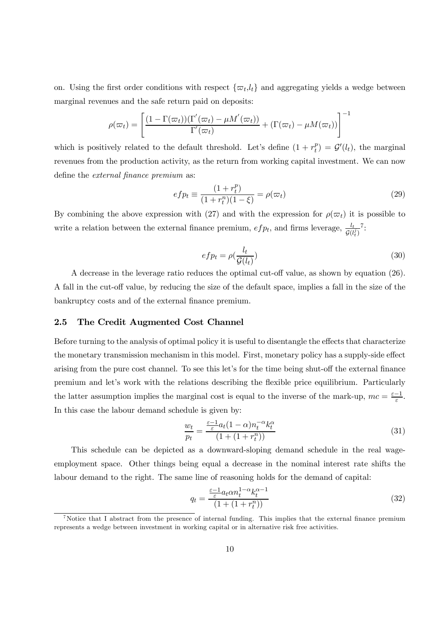on. Using the first order conditions with respect  $\{\varpi_t, l_t\}$  and aggregating yields a wedge between marginal revenues and the safe return paid on deposits:

$$
\rho(\varpi_t) = \left[ \frac{(1 - \Gamma(\varpi_t))(\Gamma'(\varpi_t) - \mu M'(\varpi_t))}{\Gamma'(\varpi_t)} + (\Gamma(\varpi_t) - \mu M(\varpi_t)) \right]^{-1}
$$

which is positively related to the default threshold. Let's define  $(1 + r_t^p) = \mathcal{G}'(l_t)$ , the marginal revenues from the production activity, as the return from working capital investment. We can now define the external finance premium as:

$$
efp_t \equiv \frac{(1+r_t^p)}{(1+r_t^n)(1-\xi)} = \rho(\varpi_t)
$$
\n(29)

By combining the above expression with (27) and with the expression for  $\rho(\varpi_t)$  it is possible to write a relation between the external finance premium,  $efp_t$ , and firms leverage,  $\frac{l_t}{\mathcal{G}(l_t^j)}$ <sup>7</sup>:

$$
efp_t = \rho(\frac{l_t}{\mathcal{G}(l_t)})\tag{30}
$$

A decrease in the leverage ratio reduces the optimal cut-off value, as shown by equation (26). A fall in the cut-off value, by reducing the size of the default space, implies a fall in the size of the bankruptcy costs and of the external finance premium.

### 2.5 The Credit Augmented Cost Channel

Before turning to the analysis of optimal policy it is useful to disentangle the effects that characterize the monetary transmission mechanism in this model. First, monetary policy has a supply-side effect arising from the pure cost channel. To see this let's for the time being shut-off the external finance premium and let's work with the relations describing the flexible price equilibrium. Particularly the latter assumption implies the marginal cost is equal to the inverse of the mark-up,  $mc = \frac{\varepsilon - 1}{\varepsilon}$ . In this case the labour demand schedule is given by:

$$
\frac{w_t}{p_t} = \frac{\frac{\varepsilon - 1}{\varepsilon} a_t (1 - \alpha) n_t^{-\alpha} k_t^{\alpha}}{(1 + (1 + r_t^n))}
$$
(31)

This schedule can be depicted as a downward-sloping demand schedule in the real wageemployment space. Other things being equal a decrease in the nominal interest rate shifts the labour demand to the right. The same line of reasoning holds for the demand of capital:

$$
q_t = \frac{\frac{\varepsilon - 1}{\varepsilon} a_t \alpha n_t^{1 - \alpha} k_t^{\alpha - 1}}{\left(1 + (1 + r_t^n)\right)}\tag{32}
$$

<sup>&</sup>lt;sup>7</sup>Notice that I abstract from the presence of internal funding. This implies that the external finance premium represents a wedge between investment in working capital or in alternative risk free activities.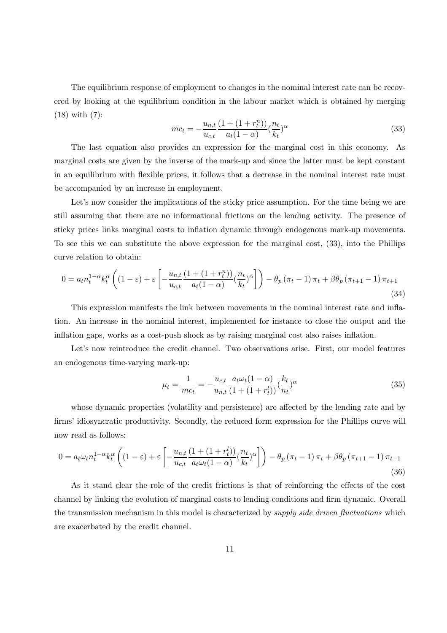The equilibrium response of employment to changes in the nominal interest rate can be recovered by looking at the equilibrium condition in the labour market which is obtained by merging (18) with (7):

$$
mc_t = -\frac{u_{n,t}}{u_{c,t}} \frac{(1 + (1 + r_t^n))}{a_t(1 - \alpha)} \left(\frac{n_t}{k_t}\right)^{\alpha}
$$
\n(33)

The last equation also provides an expression for the marginal cost in this economy. As marginal costs are given by the inverse of the mark-up and since the latter must be kept constant in an equilibrium with flexible prices, it follows that a decrease in the nominal interest rate must be accompanied by an increase in employment.

Let's now consider the implications of the sticky price assumption. For the time being we are still assuming that there are no informational frictions on the lending activity. The presence of sticky prices links marginal costs to inflation dynamic through endogenous mark-up movements. To see this we can substitute the above expression for the marginal cost, (33), into the Phillips curve relation to obtain:

$$
0 = a_t n_t^{1-\alpha} k_t^{\alpha} \left( (1-\varepsilon) + \varepsilon \left[ -\frac{u_{n,t}}{u_{c,t}} \frac{(1+(1+r_t^n))}{a_t(1-\alpha)} \left( \frac{n_t}{k_t} \right)^{\alpha} \right] \right) - \theta_p \left( \pi_t - 1 \right) \pi_t + \beta \theta_p \left( \pi_{t+1} - 1 \right) \pi_{t+1}
$$
\n(34)

This expression manifests the link between movements in the nominal interest rate and inflation. An increase in the nominal interest, implemented for instance to close the output and the inflation gaps, works as a cost-push shock as by raising marginal cost also raises inflation.

Let's now reintroduce the credit channel. Two observations arise. First, our model features an endogenous time-varying mark-up:

$$
\mu_t = \frac{1}{mc_t} = -\frac{u_{c,t}}{u_{n,t}} \frac{a_t \omega_t (1 - \alpha)}{(1 + (1 + r_t^l))} (\frac{k_t}{n_t})^{\alpha} \tag{35}
$$

whose dynamic properties (volatility and persistence) are affected by the lending rate and by firms' idiosyncratic productivity. Secondly, the reduced form expression for the Phillips curve will now read as follows:

$$
0 = a_t \omega_t n_t^{1-\alpha} k_t^{\alpha} \left( (1-\varepsilon) + \varepsilon \left[ -\frac{u_{n,t}}{u_{c,t}} \frac{(1+(1+r_t^l))}{a_t \omega_t (1-\alpha)} \left( \frac{n_t}{k_t} \right)^{\alpha} \right] \right) - \theta_p \left( \pi_t - 1 \right) \pi_t + \beta \theta_p \left( \pi_{t+1} - 1 \right) \pi_{t+1} \tag{36}
$$

As it stand clear the role of the credit frictions is that of reinforcing the effects of the cost channel by linking the evolution of marginal costs to lending conditions and firm dynamic. Overall the transmission mechanism in this model is characterized by *supply side driven fluctuations* which are exacerbated by the credit channel.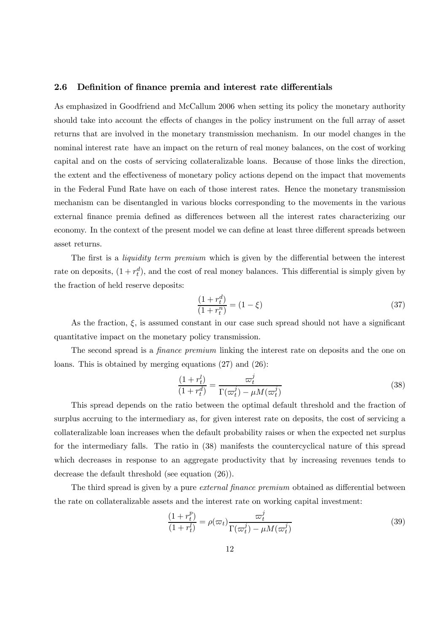#### 2.6 Definition of finance premia and interest rate differentials

As emphasized in Goodfriend and McCallum 2006 when setting its policy the monetary authority should take into account the effects of changes in the policy instrument on the full array of asset returns that are involved in the monetary transmission mechanism. In our model changes in the nominal interest rate have an impact on the return of real money balances, on the cost of working capital and on the costs of servicing collateralizable loans. Because of those links the direction, the extent and the effectiveness of monetary policy actions depend on the impact that movements in the Federal Fund Rate have on each of those interest rates. Hence the monetary transmission mechanism can be disentangled in various blocks corresponding to the movements in the various external finance premia defined as differences between all the interest rates characterizing our economy. In the context of the present model we can define at least three different spreads between asset returns.

The first is a *liquidity term premium* which is given by the differential between the interest rate on deposits,  $(1 + r_t^d)$ , and the cost of real money balances. This differential is simply given by the fraction of held reserve deposits:

$$
\frac{(1+r_t^d)}{(1+r_t^n)} = (1-\xi)
$$
\n(37)

As the fraction,  $\xi$ , is assumed constant in our case such spread should not have a significant quantitative impact on the monetary policy transmission.

The second spread is a *finance premium* linking the interest rate on deposits and the one on loans. This is obtained by merging equations (27) and (26):

$$
\frac{(1+r_t^l)}{(1+r_t^d)} = \frac{\varpi_t^j}{\Gamma(\varpi_t^j) - \mu M(\varpi_t^j)}
$$
(38)

This spread depends on the ratio between the optimal default threshold and the fraction of surplus accruing to the intermediary as, for given interest rate on deposits, the cost of servicing a collateralizable loan increases when the default probability raises or when the expected net surplus for the intermediary falls. The ratio in (38) manifests the countercyclical nature of this spread which decreases in response to an aggregate productivity that by increasing revenues tends to decrease the default threshold (see equation (26)).

The third spread is given by a pure *external finance premium* obtained as differential between the rate on collateralizable assets and the interest rate on working capital investment:

$$
\frac{(1+r_t^p)}{(1+r_t^l)} = \rho(\varpi_t) \frac{\varpi_t^j}{\Gamma(\varpi_t^j) - \mu M(\varpi_t^j)}
$$
(39)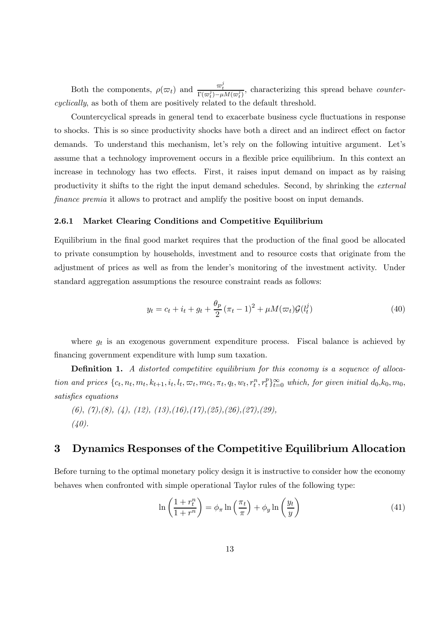Both the components,  $\rho(\varpi_t)$  and  $\frac{\varpi_t^j}{\Gamma(\varpi_t^j) - \mu M(\varpi_t^j)}$ , characterizing this spread behave *counter*cyclically, as both of them are positively related to the default threshold.

Countercyclical spreads in general tend to exacerbate business cycle fluctuations in response to shocks. This is so since productivity shocks have both a direct and an indirect effect on factor demands. To understand this mechanism, let's rely on the following intuitive argument. Let's assume that a technology improvement occurs in a flexible price equilibrium. In this context an increase in technology has two effects. First, it raises input demand on impact as by raising productivity it shifts to the right the input demand schedules. Second, by shrinking the external finance premia it allows to protract and amplify the positive boost on input demands.

#### 2.6.1 Market Clearing Conditions and Competitive Equilibrium

Equilibrium in the final good market requires that the production of the final good be allocated to private consumption by households, investment and to resource costs that originate from the adjustment of prices as well as from the lender's monitoring of the investment activity. Under standard aggregation assumptions the resource constraint reads as follows:

$$
y_t = c_t + i_t + g_t + \frac{\theta_p}{2} (\pi_t - 1)^2 + \mu M(\varpi_t) \mathcal{G}(l_t^j)
$$
\n(40)

where  $g_t$  is an exogenous government expenditure process. Fiscal balance is achieved by financing government expenditure with lump sum taxation.

**Definition 1.** A distorted competitive equilibrium for this economy is a sequence of allocation and prices  $\{c_t, n_t, m_t, k_{t+1}, i_t, l_t, \varpi_t, mc_t, \pi_t, q_t, w_t, r_t^n, r_t^p\}_{t=0}^{\infty}$  which, for given initial  $d_0, k_0, m_0$ , satisfies equations

 $(6), (7), (8), (4), (12), (13), (16), (17), (25), (26), (27), (29),$  $(40).$ 

## 3 Dynamics Responses of the Competitive Equilibrium Allocation

Before turning to the optimal monetary policy design it is instructive to consider how the economy behaves when confronted with simple operational Taylor rules of the following type:

$$
\ln\left(\frac{1+r_t^n}{1+r^n}\right) = \phi_\pi \ln\left(\frac{\pi_t}{\pi}\right) + \phi_y \ln\left(\frac{y_t}{y}\right) \tag{41}
$$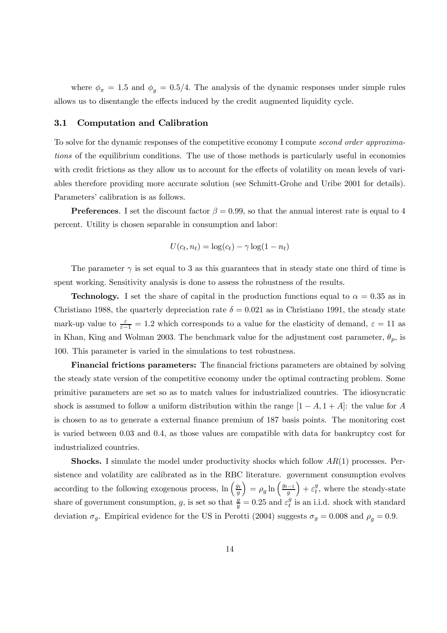where  $\phi_{\pi} = 1.5$  and  $\phi_{\nu} = 0.5/4$ . The analysis of the dynamic responses under simple rules allows us to disentangle the effects induced by the credit augmented liquidity cycle.

#### 3.1 Computation and Calibration

To solve for the dynamic responses of the competitive economy I compute second order approximations of the equilibrium conditions. The use of those methods is particularly useful in economies with credit frictions as they allow us to account for the effects of volatility on mean levels of variables therefore providing more accurate solution (see Schmitt-Grohe and Uribe 2001 for details). Parameters' calibration is as follows.

**Preferences.** I set the discount factor  $\beta = 0.99$ , so that the annual interest rate is equal to 4 percent. Utility is chosen separable in consumption and labor:

$$
U(c_t, n_t) = \log(c_t) - \gamma \log(1 - n_t)
$$

The parameter  $\gamma$  is set equal to 3 as this guarantees that in steady state one third of time is spent working. Sensitivity analysis is done to assess the robustness of the results.

**Technology.** I set the share of capital in the production functions equal to  $\alpha = 0.35$  as in Christiano 1988, the quarterly depreciation rate  $\delta = 0.021$  as in Christiano 1991, the steady state mark-up value to  $\frac{\varepsilon}{\varepsilon - 1} = 1.2$  which corresponds to a value for the elasticity of demand,  $\varepsilon = 11$  as in Khan, King and Wolman 2003. The benchmark value for the adjustment cost parameter,  $\theta_p$ , is 100. This parameter is varied in the simulations to test robustness.

Financial frictions parameters: The financial frictions parameters are obtained by solving the steady state version of the competitive economy under the optimal contracting problem. Some primitive parameters are set so as to match values for industrialized countries. The idiosyncratic shock is assumed to follow a uniform distribution within the range  $[1 - A, 1 + A]$ : the value for A is chosen to as to generate a external finance premium of 187 basis points. The monitoring cost is varied between 0.03 and 0.4, as those values are compatible with data for bankruptcy cost for industrialized countries.

**Shocks.** I simulate the model under productivity shocks which follow  $AR(1)$  processes. Persistence and volatility are calibrated as in the RBC literature. government consumption evolves according to the following exogenous process,  $\ln\left(\frac{g_t}{g}\right)$  $=\rho_g \ln \left(\frac{g_{t-1}}{g}\right)$  $+ \varepsilon_t^g$ , where the steady-state share of government consumption, g, is set so that  $\frac{g}{y} = 0.25$  and  $\varepsilon_t^g$  is an i.i.d. shock with standard deviation  $\sigma_g$ . Empirical evidence for the US in Perotti (2004) suggests  $\sigma_g = 0.008$  and  $\rho_g = 0.9$ .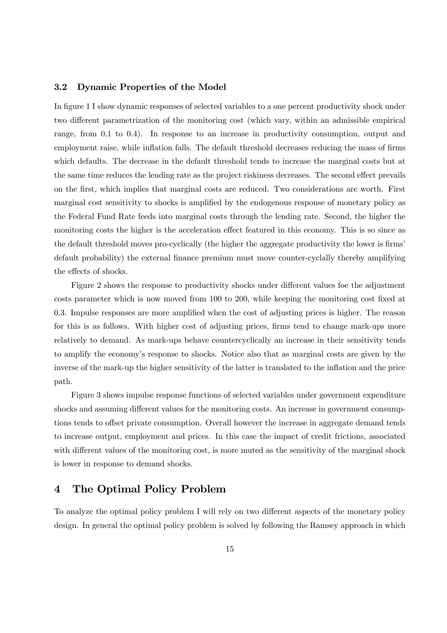#### 3.2 Dynamic Properties of the Model

In figure 1 I show dynamic responses of selected variables to a one percent productivity shock under two different parametrization of the monitoring cost (which vary, within an admissible empirical range, from 0.1 to 0.4). In response to an increase in productivity consumption, output and employment raise, while inflation falls. The default threshold decreases reducing the mass of firms which defaults. The decrease in the default threshold tends to increase the marginal costs but at the same time reduces the lending rate as the project riskiness decreases. The second effect prevails on the first, which implies that marginal costs are reduced. Two considerations are worth. First marginal cost sensitivity to shocks is amplified by the endogenous response of monetary policy as the Federal Fund Rate feeds into marginal costs through the lending rate. Second, the higher the monitoring costs the higher is the acceleration effect featured in this economy. This is so since as the default threshold moves pro-cyclically (the higher the aggregate productivity the lower is firms' default probability) the external finance premium must move counter-cyclally thereby amplifying the effects of shocks.

Figure 2 shows the response to productivity shocks under different values foe the adjustment costs parameter which is now moved from 100 to 200, while keeping the monitoring cost fixed at 0.3. Impulse responses are more amplified when the cost of adjusting prices is higher. The reason for this is as follows. With higher cost of adjusting prices, firms tend to change mark-ups more relatively to demand. As mark-ups behave countercyclically an increase in their sensitivity tends to amplify the economy's response to shocks. Notice also that as marginal costs are given by the inverse of the mark-up the higher sensitivity of the latter is translated to the inflation and the price path.

Figure 3 shows impulse response functions of selected variables under government expenditure shocks and assuming different values for the monitoring costs. An increase in government consumptions tends to offset private consumption. Overall however the increase in aggregate demand tends to increase output, employment and prices. In this case the impact of credit frictions, associated with different values of the monitoring cost, is more muted as the sensitivity of the marginal shock is lower in response to demand shocks.

### 4 The Optimal Policy Problem

To analyze the optimal policy problem I will rely on two different aspects of the monetary policy design. In general the optimal policy problem is solved by following the Ramsey approach in which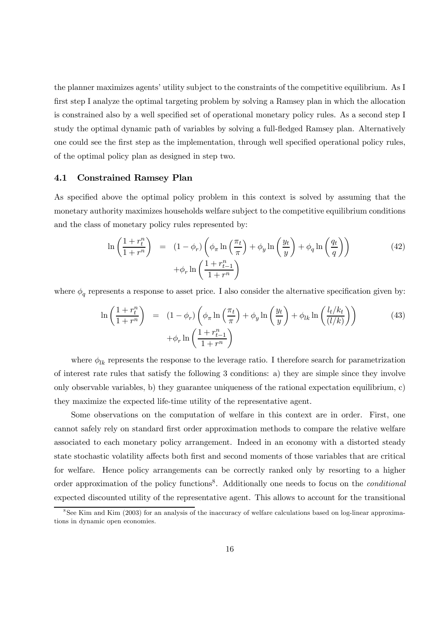the planner maximizes agents' utility subject to the constraints of the competitive equilibrium. As I first step I analyze the optimal targeting problem by solving a Ramsey plan in which the allocation is constrained also by a well specified set of operational monetary policy rules. As a second step I study the optimal dynamic path of variables by solving a full-fledged Ramsey plan. Alternatively one could see the first step as the implementation, through well specified operational policy rules, of the optimal policy plan as designed in step two.

### 4.1 Constrained Ramsey Plan

As specified above the optimal policy problem in this context is solved by assuming that the monetary authority maximizes households welfare subject to the competitive equilibrium conditions and the class of monetary policy rules represented by:

$$
\ln\left(\frac{1+r_t^n}{1+r^n}\right) = (1-\phi_r)\left(\phi_\pi \ln\left(\frac{\pi_t}{\pi}\right) + \phi_y \ln\left(\frac{y_t}{y}\right) + \phi_q \ln\left(\frac{q_t}{q}\right)\right) + \phi_r \ln\left(\frac{1+r_{t-1}^n}{1+r^n}\right)
$$
\n(42)

where  $\phi_q$  represents a response to asset price. I also consider the alternative specification given by:

$$
\ln\left(\frac{1+r_t^n}{1+r^n}\right) = (1-\phi_r)\left(\phi_\pi \ln\left(\frac{\pi_t}{\pi}\right) + \phi_y \ln\left(\frac{y_t}{y}\right) + \phi_{lk} \ln\left(\frac{l_t/k_t}{(l/k)}\right)\right) + \phi_r \ln\left(\frac{1+r_{t-1}^n}{1+r^n}\right)
$$
\n(43)

where  $\phi_{lk}$  represents the response to the leverage ratio. I therefore search for parametrization of interest rate rules that satisfy the following 3 conditions: a) they are simple since they involve only observable variables, b) they guarantee uniqueness of the rational expectation equilibrium, c) they maximize the expected life-time utility of the representative agent.

Some observations on the computation of welfare in this context are in order. First, one cannot safely rely on standard first order approximation methods to compare the relative welfare associated to each monetary policy arrangement. Indeed in an economy with a distorted steady state stochastic volatility affects both first and second moments of those variables that are critical for welfare. Hence policy arrangements can be correctly ranked only by resorting to a higher order approximation of the policy functions<sup>8</sup>. Additionally one needs to focus on the *conditional* expected discounted utility of the representative agent. This allows to account for the transitional

<sup>&</sup>lt;sup>8</sup>See Kim and Kim (2003) for an analysis of the inaccuracy of welfare calculations based on log-linear approximations in dynamic open economies.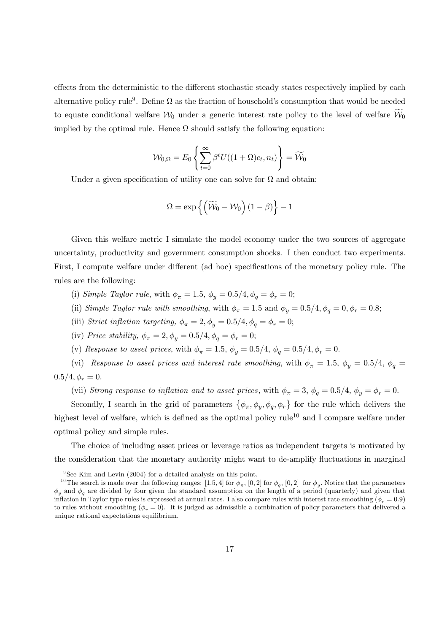effects from the deterministic to the different stochastic steady states respectively implied by each alternative policy rule<sup>9</sup>. Define  $\Omega$  as the fraction of household's consumption that would be needed to equate conditional welfare  $\mathcal{W}_0$  under a generic interest rate policy to the level of welfare  $\mathcal{W}_0$ implied by the optimal rule. Hence  $\Omega$  should satisfy the following equation:

$$
\mathcal{W}_{0,\Omega}=E_0\left\{\sum_{t=0}^\infty\beta^tU((1+\Omega)c_t,n_t)\right\}=\widetilde{\mathcal{W}}_0
$$

Under a given specification of utility one can solve for  $\Omega$  and obtain:

$$
\Omega = \exp\left\{ \left( \widetilde{\mathcal{W}}_0 - \mathcal{W}_0 \right) (1 - \beta) \right\} - 1
$$

Given this welfare metric I simulate the model economy under the two sources of aggregate uncertainty, productivity and government consumption shocks. I then conduct two experiments. First, I compute welfare under different (ad hoc) specifications of the monetary policy rule. The rules are the following:

- (i) Simple Taylor rule, with  $\phi_{\pi} = 1.5$ ,  $\phi_{\nu} = 0.5/4$ ,  $\phi_{\sigma} = \phi_{r} = 0$ ;
- (ii) Simple Taylor rule with smoothing, with  $\phi_{\pi} = 1.5$  and  $\phi_{y} = 0.5/4$ ,  $\phi_{q} = 0$ ,  $\phi_{r} = 0.8$ ;
- (iii) Strict inflation targeting,  $\phi_{\pi} = 2, \phi_y = 0.5/4, \phi_q = \phi_r = 0;$
- (iv) Price stability,  $\phi_{\pi} = 2, \phi_{\nu} = 0.5/4, \phi_{\sigma} = \phi_{r} = 0;$
- (v) Response to asset prices, with  $\phi_{\pi} = 1.5$ ,  $\phi_{\nu} = 0.5/4$ ,  $\phi_{\sigma} = 0.5/4$ ,  $\phi_{r} = 0$ .

(vi) Response to asset prices and interest rate smoothing, with  $\phi_{\pi} = 1.5$ ,  $\phi_{y} = 0.5/4$ ,  $\phi_{q} =$  $0.5/4, \phi_r = 0.$ 

(vii) Strong response to inflation and to asset prices, with  $\phi_{\pi} = 3$ ,  $\phi_{q} = 0.5/4$ ,  $\phi_{y} = \phi_{r} = 0$ .

Secondly, I search in the grid of parameters  $\{\phi_{\pi}, \phi_y, \phi_q, \phi_r\}$  for the rule which delivers the highest level of welfare, which is defined as the optimal policy rule<sup>10</sup> and I compare welfare under optimal policy and simple rules.

The choice of including asset prices or leverage ratios as independent targets is motivated by the consideration that the monetary authority might want to de-amplify fluctuations in marginal

 $9$ See Kim and Levin (2004) for a detailed analysis on this point.

<sup>&</sup>lt;sup>10</sup>The search is made over the following ranges: [1.5, 4] for  $\phi_{\pi}$ , [0, 2] for  $\phi_{\sigma}$ , [0, 2] for  $\phi_{\nu}$ . Notice that the parameters  $\phi_n$  and  $\phi_q$  are divided by four given the standard assumption on the length of a period (quarterly) and given that inflation in Taylor type rules is expressed at annual rates. I also compare rules with interest rate smoothing ( $\phi_r = 0.9$ ) to rules without smoothing ( $\phi_r = 0$ ). It is judged as admissible a combination of policy parameters that delivered a unique rational expectations equilibrium.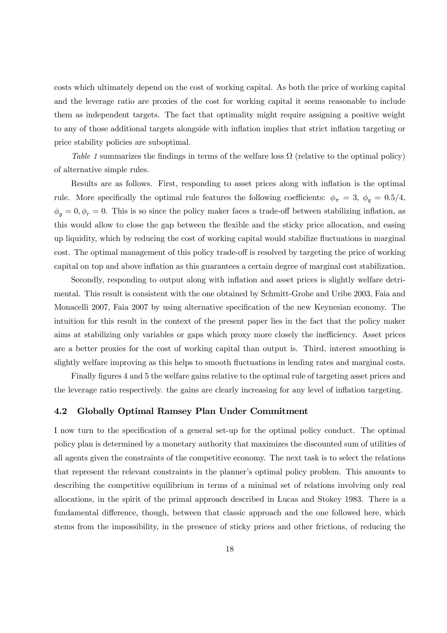costs which ultimately depend on the cost of working capital. As both the price of working capital and the leverage ratio are proxies of the cost for working capital it seems reasonable to include them as independent targets. The fact that optimality might require assigning a positive weight to any of those additional targets alongside with inflation implies that strict inflation targeting or price stability policies are suboptimal.

Table 1 summarizes the findings in terms of the welfare loss  $\Omega$  (relative to the optimal policy) of alternative simple rules.

Results are as follows. First, responding to asset prices along with inflation is the optimal rule. More specifically the optimal rule features the following coefficients:  $\phi_{\pi} = 3$ ,  $\phi_{g} = 0.5/4$ ,  $\phi_y = 0, \phi_r = 0$ . This is so since the policy maker faces a trade-off between stabilizing inflation, as this would allow to close the gap between the flexible and the sticky price allocation, and easing up liquidity, which by reducing the cost of working capital would stabilize fluctuations in marginal cost. The optimal management of this policy trade-off is resolved by targeting the price of working capital on top and above inflation as this guarantees a certain degree of marginal cost stabilization.

Secondly, responding to output along with inflation and asset prices is slightly welfare detrimental. This result is consistent with the one obtained by Schmitt-Grohe and Uribe 2003, Faia and Monacelli 2007, Faia 2007 by using alternative specification of the new Keynesian economy. The intuition for this result in the context of the present paper lies in the fact that the policy maker aims at stabilizing only variables or gaps which proxy more closely the inefficiency. Asset prices are a better proxies for the cost of working capital than output is. Third, interest smoothing is slightly welfare improving as this helps to smooth fluctuations in lending rates and marginal costs.

Finally figures 4 and 5 the welfare gains relative to the optimal rule of targeting asset prices and the leverage ratio respectively. the gains are clearly increasing for any level of inflation targeting.

### 4.2 Globally Optimal Ramsey Plan Under Commitment

I now turn to the specification of a general set-up for the optimal policy conduct. The optimal policy plan is determined by a monetary authority that maximizes the discounted sum of utilities of all agents given the constraints of the competitive economy. The next task is to select the relations that represent the relevant constraints in the planner's optimal policy problem. This amounts to describing the competitive equilibrium in terms of a minimal set of relations involving only real allocations, in the spirit of the primal approach described in Lucas and Stokey 1983. There is a fundamental difference, though, between that classic approach and the one followed here, which stems from the impossibility, in the presence of sticky prices and other frictions, of reducing the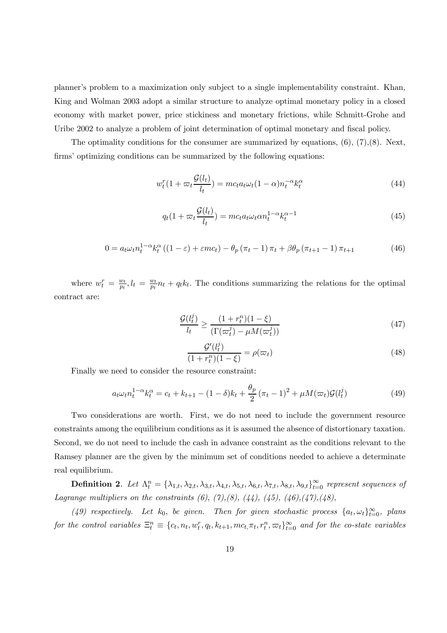planner's problem to a maximization only subject to a single implementability constraint. Khan, King and Wolman 2003 adopt a similar structure to analyze optimal monetary policy in a closed economy with market power, price stickiness and monetary frictions, while Schmitt-Grohe and Uribe 2002 to analyze a problem of joint determination of optimal monetary and fiscal policy.

The optimality conditions for the consumer are summarized by equations,  $(6)$ ,  $(7)$ ,  $(8)$ . Next, firms' optimizing conditions can be summarized by the following equations:

$$
w_t^r(1 + \varpi_t \frac{\mathcal{G}(l_t)}{l_t}) = mc_t a_t \omega_t (1 - \alpha) n_t^{-\alpha} k_t^{\alpha}
$$
\n
$$
\tag{44}
$$

$$
q_t(1 + \varpi_t \frac{\mathcal{G}(l_t)}{l_t}) = mc_t a_t \omega_t \alpha n_t^{1-\alpha} k_t^{\alpha-1}
$$
\n(45)

$$
0 = a_t \omega_t n_t^{1-\alpha} k_t^{\alpha} \left( (1-\varepsilon) + \varepsilon m c_t \right) - \theta_p \left( \pi_t - 1 \right) \pi_t + \beta \theta_p \left( \pi_{t+1} - 1 \right) \pi_{t+1} \tag{46}
$$

where  $w_t^r = \frac{w_t}{p_t}, l_t = \frac{w_t}{p_t} n_t + q_t k_t$ . The conditions summarizing the relations for the optimal contract are:

$$
\frac{\mathcal{G}(l_t^j)}{l_t} \ge \frac{(1+r_t^n)(1-\xi)}{(\Gamma(\varpi_t^j) - \mu M(\varpi_t^j))}
$$
(47)

$$
\frac{\mathcal{G}'(l_t^j)}{(1+r_t^n)(1-\xi)} = \rho(\varpi_t)
$$
\n(48)

Finally we need to consider the resource constraint:

$$
a_t \omega_t n_t^{1-\alpha} k_t^{\alpha} = c_t + k_{t+1} - (1 - \delta) k_t + \frac{\theta_p}{2} (\pi_t - 1)^2 + \mu M(\varpi_t) \mathcal{G}(l_t^j)
$$
(49)

Two considerations are worth. First, we do not need to include the government resource constraints among the equilibrium conditions as it is assumed the absence of distortionary taxation. Second, we do not need to include the cash in advance constraint as the conditions relevant to the Ramsey planner are the given by the minimum set of conditions needed to achieve a determinate real equilibrium.

**Definition 2.** Let  $\Lambda_t^n = {\lambda_{1,t}, \lambda_{2,t}, \lambda_{3,t}, \lambda_{4,t}, \lambda_{5,t}, \lambda_{6,t}, \lambda_{7,t}, \lambda_{8,t}, \lambda_{9,t}}_{t=0}^{\infty}$  represent sequences of Lagrange multipliers on the constraints  $(6)$ ,  $(7)$ ,  $(8)$ ,  $(44)$ ,  $(45)$ ,  $(46)$ ,  $(47)$ ,  $(48)$ ,

(49) respectively. Let  $k_0$ , be given. Then for given stochastic process  $\{a_t, \omega_t\}_{t=0}^{\infty}$ , plans for the control variables  $\Xi_t^n \equiv \{c_t, n_t, w_t^r, q_t, k_{t+1}, mc_t, \pi_t, r_t^n, \varpi_t\}_{t=0}^{\infty}$  and for the co-state variables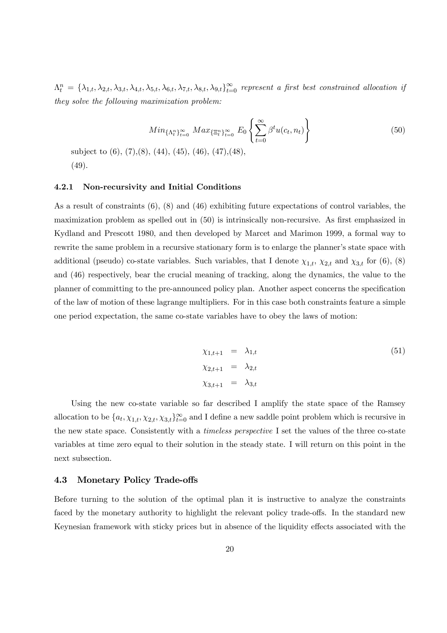$\Lambda_t^n = \{\lambda_{1,t}, \lambda_{2,t}, \lambda_{3,t}, \lambda_{4,t}, \lambda_{5,t}, \lambda_{6,t}, \lambda_{7,t}, \lambda_{8,t}, \lambda_{9,t}\}_{t=0}^{\infty}$  represent a first best constrained allocation if they solve the following maximization problem:

$$
Min_{\{\Lambda_t^n\}_{t=0}^\infty} Max_{\{\Xi_t^n\}_{t=0}^\infty} E_0 \left\{ \sum_{t=0}^\infty \beta^t u(c_t, n_t) \right\} \tag{50}
$$

subject to (6), (7),(8), (44), (45), (46), (47),(48), (49).

#### 4.2.1 Non-recursivity and Initial Conditions

As a result of constraints (6), (8) and (46) exhibiting future expectations of control variables, the maximization problem as spelled out in (50) is intrinsically non-recursive. As first emphasized in Kydland and Prescott 1980, and then developed by Marcet and Marimon 1999, a formal way to rewrite the same problem in a recursive stationary form is to enlarge the planner's state space with additional (pseudo) co-state variables. Such variables, that I denote  $\chi_{1,t}$ ,  $\chi_{2,t}$  and  $\chi_{3,t}$  for (6), (8) and (46) respectively, bear the crucial meaning of tracking, along the dynamics, the value to the planner of committing to the pre-announced policy plan. Another aspect concerns the specification of the law of motion of these lagrange multipliers. For in this case both constraints feature a simple one period expectation, the same co-state variables have to obey the laws of motion:

$$
\begin{aligned}\n\chi_{1,t+1} &= \lambda_{1,t} \\
\chi_{2,t+1} &= \lambda_{2,t} \\
\chi_{3,t+1} &= \lambda_{3,t}\n\end{aligned} \n\tag{51}
$$

Using the new co-state variable so far described I amplify the state space of the Ramsey allocation to be  $\{a_t, \chi_{1,t}, \chi_{2,t}, \chi_{3,t}\}_{t=0}^{\infty}$  and I define a new saddle point problem which is recursive in the new state space. Consistently with a timeless perspective I set the values of the three co-state variables at time zero equal to their solution in the steady state. I will return on this point in the next subsection.

#### 4.3 Monetary Policy Trade-offs

Before turning to the solution of the optimal plan it is instructive to analyze the constraints faced by the monetary authority to highlight the relevant policy trade-offs. In the standard new Keynesian framework with sticky prices but in absence of the liquidity effects associated with the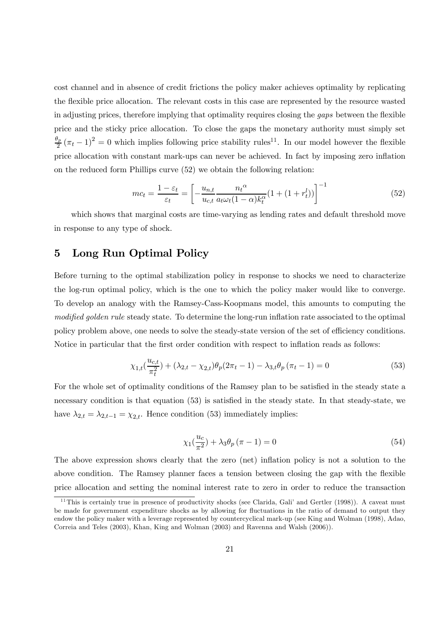cost channel and in absence of credit frictions the policy maker achieves optimality by replicating the flexible price allocation. The relevant costs in this case are represented by the resource wasted in adjusting prices, therefore implying that optimality requires closing the gaps between the flexible price and the sticky price allocation. To close the gaps the monetary authority must simply set  $\frac{\theta_p}{2}(\pi_t - 1)^2 = 0$  which implies following price stability rules<sup>11</sup>. In our model however the flexible price allocation with constant mark-ups can never be achieved. In fact by imposing zero inflation on the reduced form Phillips curve (52) we obtain the following relation:

$$
mc_t = \frac{1 - \varepsilon_t}{\varepsilon_t} = \left[ -\frac{u_{n,t}}{u_{c,t}} \frac{n_t^{\alpha}}{a_t \omega_t (1 - \alpha) k_t^{\alpha}} (1 + (1 + r_t^l)) \right]^{-1}
$$
(52)

which shows that marginal costs are time-varying as lending rates and default threshold move in response to any type of shock.

### 5 Long Run Optimal Policy

Before turning to the optimal stabilization policy in response to shocks we need to characterize the log-run optimal policy, which is the one to which the policy maker would like to converge. To develop an analogy with the Ramsey-Cass-Koopmans model, this amounts to computing the modified golden rule steady state. To determine the long-run inflation rate associated to the optimal policy problem above, one needs to solve the steady-state version of the set of efficiency conditions. Notice in particular that the first order condition with respect to inflation reads as follows:

$$
\chi_{1,t}\left(\frac{u_{c,t}}{\pi_t^2}\right) + (\lambda_{2,t} - \chi_{2,t})\theta_p(2\pi_t - 1) - \lambda_{3,t}\theta_p(\pi_t - 1) = 0
$$
\n(53)

For the whole set of optimality conditions of the Ramsey plan to be satisfied in the steady state a necessary condition is that equation (53) is satisfied in the steady state. In that steady-state, we have  $\lambda_{2,t} = \lambda_{2,t-1} = \chi_{2,t}$ . Hence condition (53) immediately implies:

$$
\chi_1(\frac{u_c}{\pi^2}) + \lambda_3 \theta_p (\pi - 1) = 0 \tag{54}
$$

The above expression shows clearly that the zero (net) inflation policy is not a solution to the above condition. The Ramsey planner faces a tension between closing the gap with the flexible price allocation and setting the nominal interest rate to zero in order to reduce the transaction

 $11$ This is certainly true in presence of productivity shocks (see Clarida, Gali' and Gertler (1998)). A caveat must be made for government expenditure shocks as by allowing for fluctuations in the ratio of demand to output they endow the policy maker with a leverage represented by countercyclical mark-up (see King and Wolman (1998), Adao, Correia and Teles (2003), Khan, King and Wolman (2003) and Ravenna and Walsh (2006)).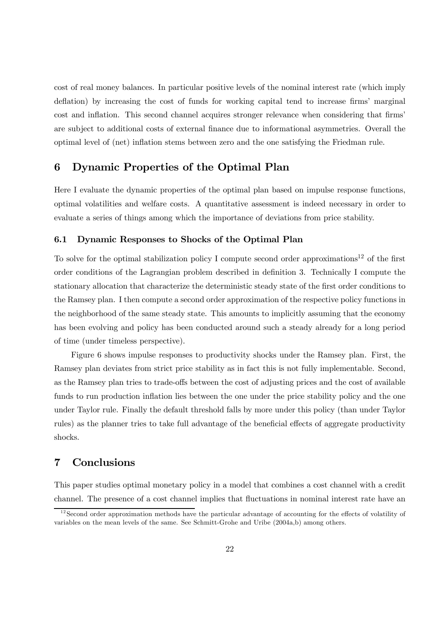cost of real money balances. In particular positive levels of the nominal interest rate (which imply deflation) by increasing the cost of funds for working capital tend to increase firms' marginal cost and inflation. This second channel acquires stronger relevance when considering that firms' are subject to additional costs of external finance due to informational asymmetries. Overall the optimal level of (net) inflation stems between zero and the one satisfying the Friedman rule.

### 6 Dynamic Properties of the Optimal Plan

Here I evaluate the dynamic properties of the optimal plan based on impulse response functions, optimal volatilities and welfare costs. A quantitative assessment is indeed necessary in order to evaluate a series of things among which the importance of deviations from price stability.

#### 6.1 Dynamic Responses to Shocks of the Optimal Plan

To solve for the optimal stabilization policy I compute second order approximations12 of the first order conditions of the Lagrangian problem described in definition 3. Technically I compute the stationary allocation that characterize the deterministic steady state of the first order conditions to the Ramsey plan. I then compute a second order approximation of the respective policy functions in the neighborhood of the same steady state. This amounts to implicitly assuming that the economy has been evolving and policy has been conducted around such a steady already for a long period of time (under timeless perspective).

Figure 6 shows impulse responses to productivity shocks under the Ramsey plan. First, the Ramsey plan deviates from strict price stability as in fact this is not fully implementable. Second, as the Ramsey plan tries to trade-offs between the cost of adjusting prices and the cost of available funds to run production inflation lies between the one under the price stability policy and the one under Taylor rule. Finally the default threshold falls by more under this policy (than under Taylor rules) as the planner tries to take full advantage of the beneficial effects of aggregate productivity shocks.

### 7 Conclusions

This paper studies optimal monetary policy in a model that combines a cost channel with a credit channel. The presence of a cost channel implies that fluctuations in nominal interest rate have an

 $12$  Second order approximation methods have the particular advantage of accounting for the effects of volatility of variables on the mean levels of the same. See Schmitt-Grohe and Uribe (2004a,b) among others.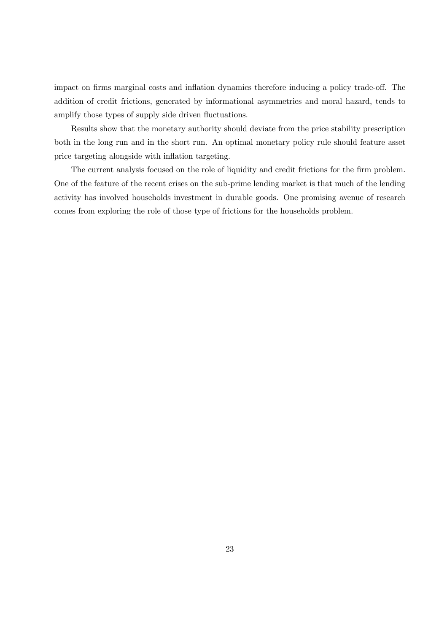impact on firms marginal costs and inflation dynamics therefore inducing a policy trade-off. The addition of credit frictions, generated by informational asymmetries and moral hazard, tends to amplify those types of supply side driven fluctuations.

Results show that the monetary authority should deviate from the price stability prescription both in the long run and in the short run. An optimal monetary policy rule should feature asset price targeting alongside with inflation targeting.

The current analysis focused on the role of liquidity and credit frictions for the firm problem. One of the feature of the recent crises on the sub-prime lending market is that much of the lending activity has involved households investment in durable goods. One promising avenue of research comes from exploring the role of those type of frictions for the households problem.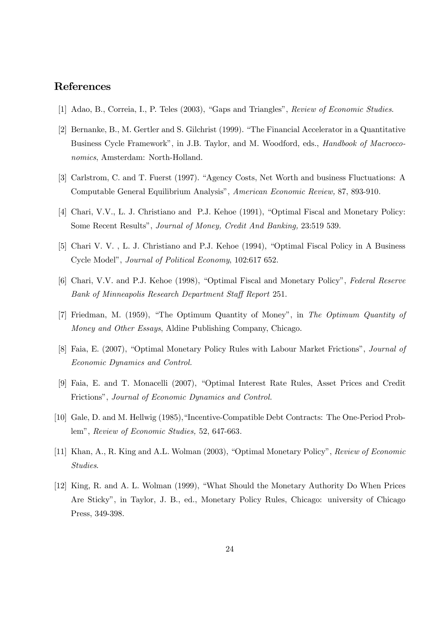# References

- [1] Adao, B., Correia, I., P. Teles (2003), "Gaps and Triangles", Review of Economic Studies.
- [2] Bernanke, B., M. Gertler and S. Gilchrist (1999). "The Financial Accelerator in a Quantitative Business Cycle Framework", in J.B. Taylor, and M. Woodford, eds., Handbook of Macroeconomics, Amsterdam: North-Holland.
- [3] Carlstrom, C. and T. Fuerst (1997). "Agency Costs, Net Worth and business Fluctuations: A Computable General Equilibrium Analysis", American Economic Review, 87, 893-910.
- [4] Chari, V.V., L. J. Christiano and P.J. Kehoe (1991), "Optimal Fiscal and Monetary Policy: Some Recent Results", Journal of Money, Credit And Banking, 23:519 539.
- [5] Chari V. V. , L. J. Christiano and P.J. Kehoe (1994), "Optimal Fiscal Policy in A Business Cycle Model", Journal of Political Economy, 102:617 652.
- [6] Chari, V.V. and P.J. Kehoe (1998), "Optimal Fiscal and Monetary Policy", Federal Reserve Bank of Minneapolis Research Department Staff Report 251.
- [7] Friedman, M. (1959), "The Optimum Quantity of Money", in The Optimum Quantity of Money and Other Essays, Aldine Publishing Company, Chicago.
- [8] Faia, E. (2007), "Optimal Monetary Policy Rules with Labour Market Frictions", Journal of Economic Dynamics and Control.
- [9] Faia, E. and T. Monacelli (2007), "Optimal Interest Rate Rules, Asset Prices and Credit Frictions", Journal of Economic Dynamics and Control.
- [10] Gale, D. and M. Hellwig (1985),"Incentive-Compatible Debt Contracts: The One-Period Problem", Review of Economic Studies, 52, 647-663.
- [11] Khan, A., R. King and A.L. Wolman (2003), "Optimal Monetary Policy", Review of Economic Studies.
- [12] King, R. and A. L. Wolman (1999), "What Should the Monetary Authority Do When Prices Are Sticky", in Taylor, J. B., ed., Monetary Policy Rules, Chicago: university of Chicago Press, 349-398.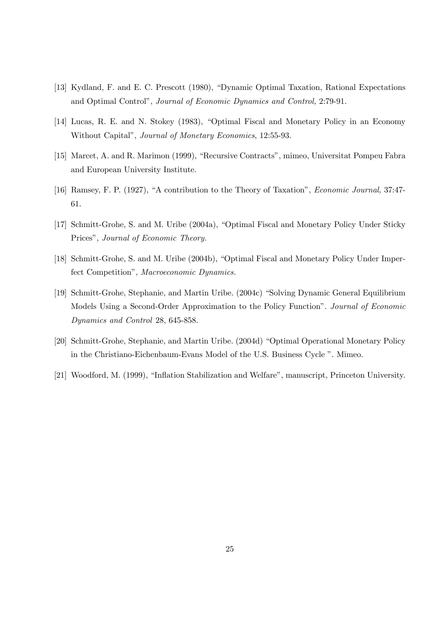- [13] Kydland, F. and E. C. Prescott (1980), "Dynamic Optimal Taxation, Rational Expectations and Optimal Control", Journal of Economic Dynamics and Control, 2:79-91.
- [14] Lucas, R. E. and N. Stokey (1983), "Optimal Fiscal and Monetary Policy in an Economy Without Capital", Journal of Monetary Economics, 12:55-93.
- [15] Marcet, A. and R. Marimon (1999), "Recursive Contracts", mimeo, Universitat Pompeu Fabra and European University Institute.
- [16] Ramsey, F. P. (1927), "A contribution to the Theory of Taxation", Economic Journal, 37:47- 61.
- [17] Schmitt-Grohe, S. and M. Uribe (2004a), "Optimal Fiscal and Monetary Policy Under Sticky Prices", Journal of Economic Theory.
- [18] Schmitt-Grohe, S. and M. Uribe (2004b), "Optimal Fiscal and Monetary Policy Under Imperfect Competition", Macroeconomic Dynamics.
- [19] Schmitt-Grohe, Stephanie, and Martin Uribe. (2004c) "Solving Dynamic General Equilibrium Models Using a Second-Order Approximation to the Policy Function". Journal of Economic Dynamics and Control 28, 645-858.
- [20] Schmitt-Grohe, Stephanie, and Martin Uribe. (2004d) "Optimal Operational Monetary Policy in the Christiano-Eichenbaum-Evans Model of the U.S. Business Cycle ". Mimeo.
- [21] Woodford, M. (1999), "Inflation Stabilization and Welfare", manuscript, Princeton University.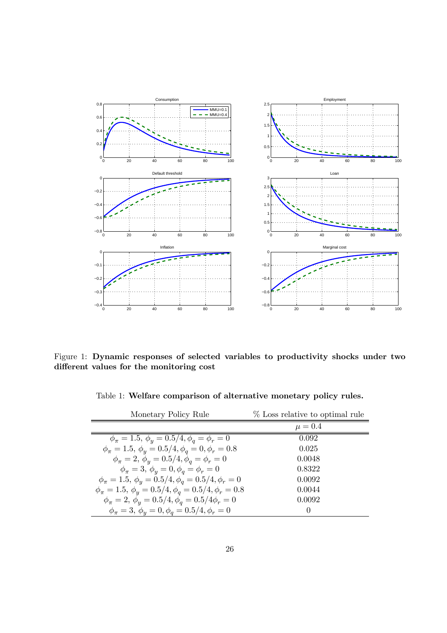

Figure 1: Dynamic responses of selected variables to productivity shocks under two different values for the monitoring cost

Table 1: Welfare comparison of alternative monetary policy rules.

| Monetary Policy Rule                                                          | % Loss relative to optimal rule |
|-------------------------------------------------------------------------------|---------------------------------|
|                                                                               | $\mu = 0.4$                     |
| $\phi_{\pi} = 1.5, \, \phi_{\nu} = 0.5/4, \phi_{\sigma} = \phi_{r} = 0$       | 0.092                           |
| $\phi_{\pi} = 1.5, \phi_{\nu} = 0.5/4, \phi_{\sigma} = 0, \phi_{r} = 0.8$     | 0.025                           |
| $\phi_{\pi} = 2, \phi_{\eta} = 0.5/4, \phi_{\eta} = \phi_{r} = 0$             | 0.0048                          |
| $\phi_{\pi} = 3, \phi_{\eta} = 0, \phi_{\eta} = \phi_{r} = 0$                 | 0.8322                          |
| $\phi_{\pi} = 1.5, \, \phi_y = 0.5/4, \phi_q = 0.5/4, \phi_r = 0$             | 0.0092                          |
| $\phi_{\pi} = 1.5, \ \phi_{\nu} = 0.5/4, \phi_{\eta} = 0.5/4, \phi_{r} = 0.8$ | 0.0044                          |
| $\phi_{\pi} = 2, \ \phi_{\nu} = 0.5/4, \phi_{\alpha} = 0.5/4 \phi_{r} = 0$    | 0.0092                          |
| $\phi_{\pi} = 3, \phi_{\eta} = 0, \phi_{\eta} = 0.5/4, \phi_{r} = 0$          | $\theta$                        |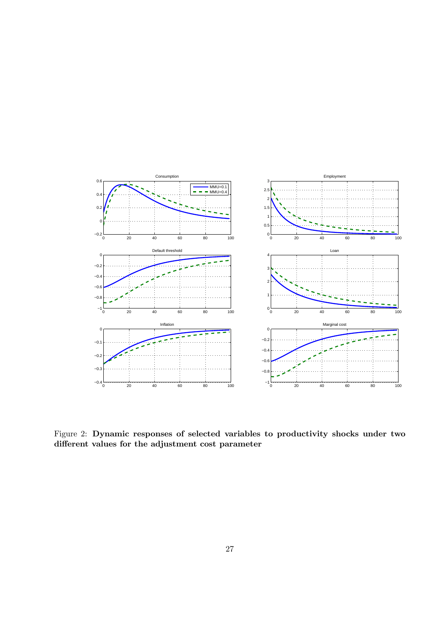

Figure 2: Dynamic responses of selected variables to productivity shocks under two different values for the adjustment cost parameter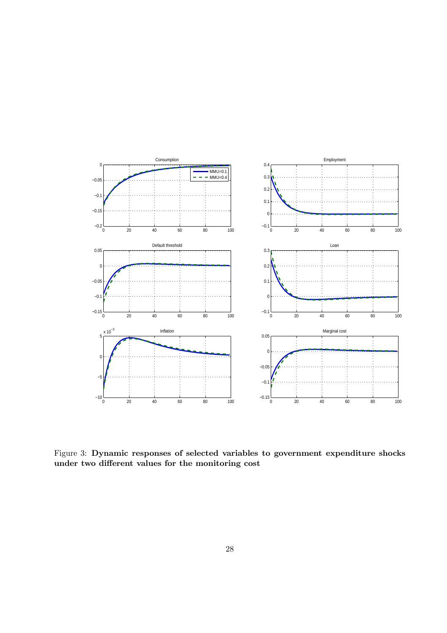

Figure 3: Dynamic responses of selected variables to government expenditure shocks under two different values for the monitoring cost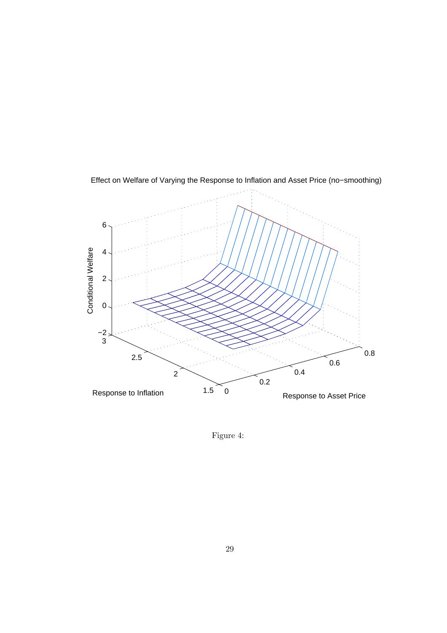

Effect on Welfare of Varying the Response to Inflation and Asset Price (no−smoothing)

Figure 4: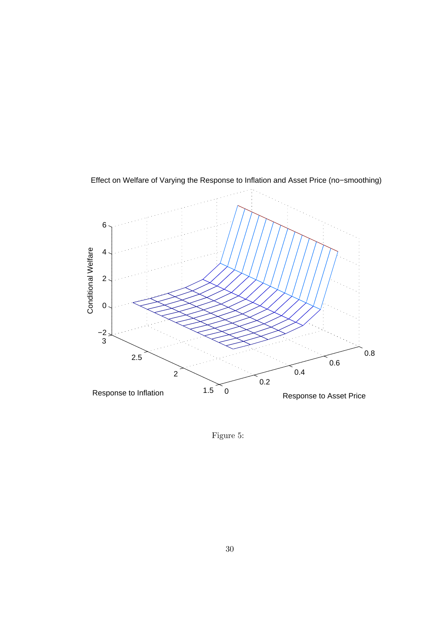

Effect on Welfare of Varying the Response to Inflation and Asset Price (no−smoothing)

Figure 5: